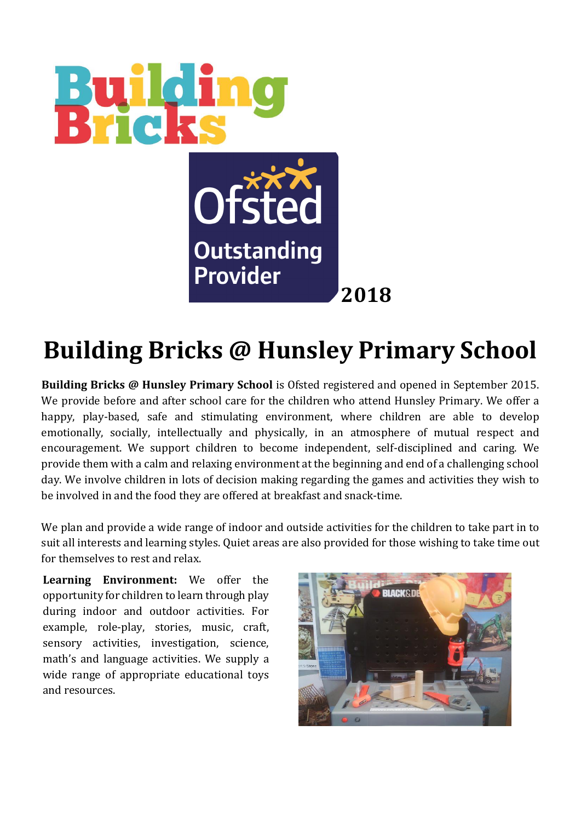

## **Building Bricks @ Hunsley Primary School**

**Building Bricks @ Hunsley Primary School** is Ofsted registered and opened in September 2015. We provide before and after school care for the children who attend Hunsley Primary. We offer a happy, play-based, safe and stimulating environment, where children are able to develop emotionally, socially, intellectually and physically, in an atmosphere of mutual respect and encouragement. We support children to become independent, self-disciplined and caring. We provide them with a calm and relaxing environment at the beginning and end of a challenging school day. We involve children in lots of decision making regarding the games and activities they wish to be involved in and the food they are offered at breakfast and snack-time.

We plan and provide a wide range of indoor and outside activities for the children to take part in to suit all interests and learning styles. Quiet areas are also provided for those wishing to take time out for themselves to rest and relax.

during indoor and outdoor activities. For **Learning Environment:** We offer the opportunity for children to learn through play example, role-play, stories, music, craft, sensory activities, investigation, science, math's and language activities. We supply a wide range of appropriate educational toys and resources.

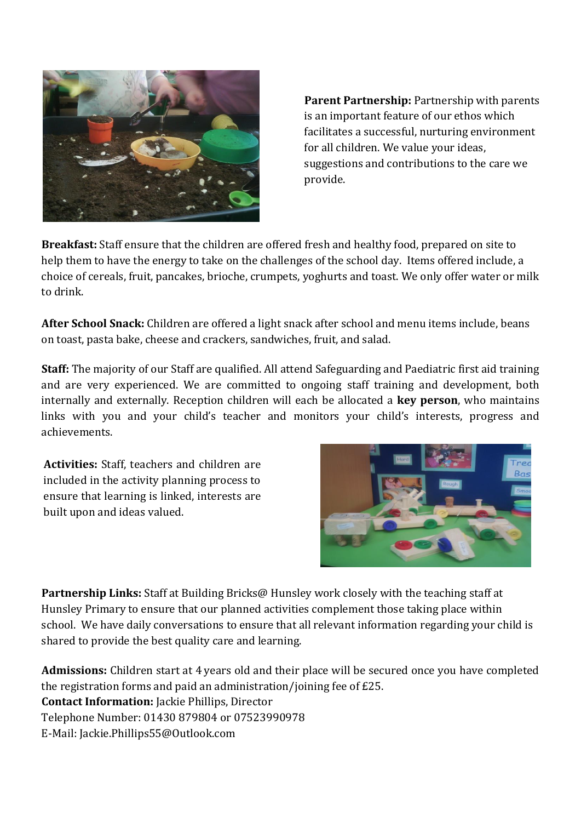

**Parent Partnership:** Partnership with parents is an important feature of our ethos which facilitates a successful, nurturing environment for all children. We value your ideas, suggestions and contributions to the care we provide.

**Breakfast:** Staff ensure that the children are offered fresh and healthy food, prepared on site to help them to have the energy to take on the challenges of the school day. Items offered include, a choice of cereals, fruit, pancakes, brioche, crumpets, yoghurts and toast. We only offer water or milk to drink.

**After School Snack:** Children are offered a light snack after school and menu items include, beans on toast, pasta bake, cheese and crackers, sandwiches, fruit, and salad.

**Staff:** The majority of our Staff are qualified. All attend Safeguarding and Paediatric first aid training and are very experienced. We are committed to ongoing staff training and development, both internally and externally. Reception children will each be allocated a **key person**, who maintains links with you and your child's teacher and monitors your child's interests, progress and achievements.

**Activities:** Staff, teachers and children are included in the activity planning process to ensure that learning is linked, interests are built upon and ideas valued.



**Partnership Links:** Staff at Building Bricks@ Hunsley work closely with the teaching staff at Hunsley Primary to ensure that our planned activities complement those taking place within school. We have daily conversations to ensure that all relevant information regarding your child is shared to provide the best quality care and learning.

**Admissions:** Children start at 4 years old and their place will be secured once you have completed the registration forms and paid an administration/joining fee of £25. **Contact Information:** Jackie Phillips, Director Telephone Number: 01430 879804 or 07523990978 E-Mail: Jackie.Phillips55@Outlook.com